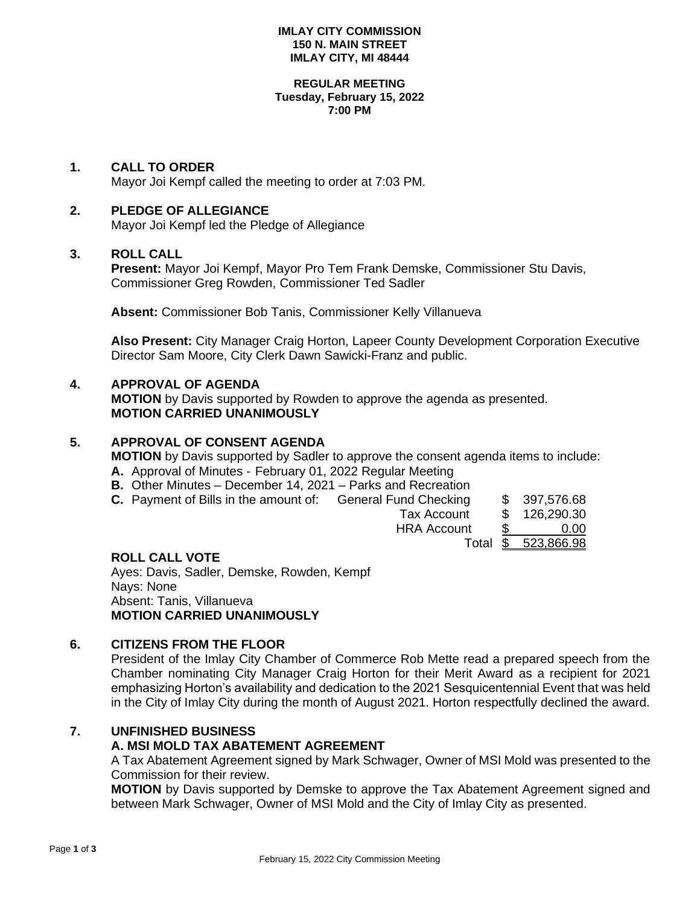#### **IMLAY CITY COMMISSION 150 N. MAIN STREET IMLAY CITY, MI 48444**

#### **REGULAR MEETING Tuesday, February 15, 2022 7:00 PM**

## **1. CALL TO ORDER**

Mayor Joi Kempf called the meeting to order at 7:03 PM.

## **2. PLEDGE OF ALLEGIANCE**

Mayor Joi Kempf led the Pledge of Allegiance

#### **3. ROLL CALL**

**Present:** Mayor Joi Kempf, Mayor Pro Tem Frank Demske, Commissioner Stu Davis, Commissioner Greg Rowden, Commissioner Ted Sadler

**Absent:** Commissioner Bob Tanis, Commissioner Kelly Villanueva

**Also Present:** City Manager Craig Horton, Lapeer County Development Corporation Executive Director Sam Moore, City Clerk Dawn Sawicki-Franz and public.

#### **4. APPROVAL OF AGENDA**

**MOTION** by Davis supported by Rowden to approve the agenda as presented. **MOTION CARRIED UNANIMOUSLY**

## **5. APPROVAL OF CONSENT AGENDA**

**MOTION** by Davis supported by Sadler to approve the consent agenda items to include:

- **A.** Approval of Minutes February 01, 2022 Regular Meeting
- **B.** Other Minutes December 14, 2021 Parks and Recreation
- **C.** Payment of Bills in the amount of: General Fund Checking \$ 397,576.68

| Tax Account | 126,290.30 |
|-------------|------------|
|             |            |

HRA Account \$ 0.00

Total \$ 523,866.98

## **ROLL CALL VOTE**

Ayes: Davis, Sadler, Demske, Rowden, Kempf Nays: None Absent: Tanis, Villanueva **MOTION CARRIED UNANIMOUSLY**

## **6. CITIZENS FROM THE FLOOR**

President of the Imlay City Chamber of Commerce Rob Mette read a prepared speech from the Chamber nominating City Manager Craig Horton for their Merit Award as a recipient for 2021 emphasizing Horton's availability and dedication to the 2021 Sesquicentennial Event that was held in the City of Imlay City during the month of August 2021. Horton respectfully declined the award.

# **7. UNFINISHED BUSINESS**

## **A. MSI MOLD TAX ABATEMENT AGREEMENT**

A Tax Abatement Agreement signed by Mark Schwager, Owner of MSI Mold was presented to the Commission for their review.

**MOTION** by Davis supported by Demske to approve the Tax Abatement Agreement signed and between Mark Schwager, Owner of MSI Mold and the City of Imlay City as presented.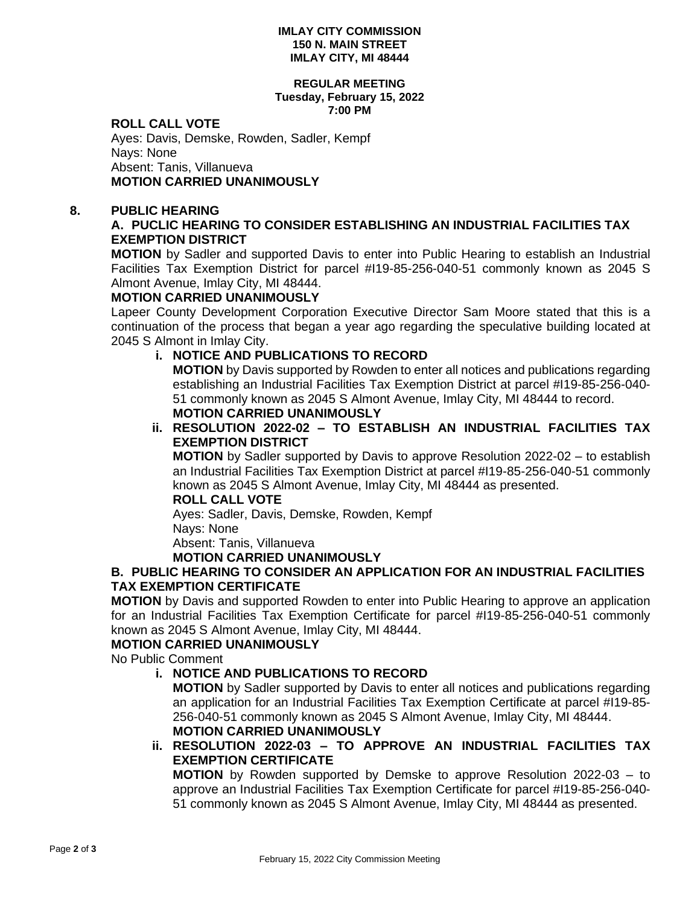#### **IMLAY CITY COMMISSION 150 N. MAIN STREET IMLAY CITY, MI 48444**

#### **REGULAR MEETING Tuesday, February 15, 2022 7:00 PM**

## **ROLL CALL VOTE**

Ayes: Davis, Demske, Rowden, Sadler, Kempf Nays: None Absent: Tanis, Villanueva **MOTION CARRIED UNANIMOUSLY**

## **8. PUBLIC HEARING**

# **A. PUCLIC HEARING TO CONSIDER ESTABLISHING AN INDUSTRIAL FACILITIES TAX EXEMPTION DISTRICT**

**MOTION** by Sadler and supported Davis to enter into Public Hearing to establish an Industrial Facilities Tax Exemption District for parcel #I19-85-256-040-51 commonly known as 2045 S Almont Avenue, Imlay City, MI 48444.

# **MOTION CARRIED UNANIMOUSLY**

Lapeer County Development Corporation Executive Director Sam Moore stated that this is a continuation of the process that began a year ago regarding the speculative building located at 2045 S Almont in Imlay City.

# **i. NOTICE AND PUBLICATIONS TO RECORD**

**MOTION** by Davis supported by Rowden to enter all notices and publications regarding establishing an Industrial Facilities Tax Exemption District at parcel #I19-85-256-040- 51 commonly known as 2045 S Almont Avenue, Imlay City, MI 48444 to record. **MOTION CARRIED UNANIMOUSLY**

# **ii. RESOLUTION 2022-02 – TO ESTABLISH AN INDUSTRIAL FACILITIES TAX EXEMPTION DISTRICT**

**MOTION** by Sadler supported by Davis to approve Resolution 2022-02 – to establish an Industrial Facilities Tax Exemption District at parcel #I19-85-256-040-51 commonly known as 2045 S Almont Avenue, Imlay City, MI 48444 as presented.

## **ROLL CALL VOTE**

Ayes: Sadler, Davis, Demske, Rowden, Kempf Nays: None Absent: Tanis, Villanueva

## **MOTION CARRIED UNANIMOUSLY**

## **B. PUBLIC HEARING TO CONSIDER AN APPLICATION FOR AN INDUSTRIAL FACILITIES TAX EXEMPTION CERTIFICATE**

**MOTION** by Davis and supported Rowden to enter into Public Hearing to approve an application for an Industrial Facilities Tax Exemption Certificate for parcel #I19-85-256-040-51 commonly known as 2045 S Almont Avenue, Imlay City, MI 48444.

# **MOTION CARRIED UNANIMOUSLY**

No Public Comment

# **i. NOTICE AND PUBLICATIONS TO RECORD**

**MOTION** by Sadler supported by Davis to enter all notices and publications regarding an application for an Industrial Facilities Tax Exemption Certificate at parcel #I19-85- 256-040-51 commonly known as 2045 S Almont Avenue, Imlay City, MI 48444. **MOTION CARRIED UNANIMOUSLY**

# **ii. RESOLUTION 2022-03 – TO APPROVE AN INDUSTRIAL FACILITIES TAX EXEMPTION CERTIFICATE**

**MOTION** by Rowden supported by Demske to approve Resolution 2022-03 – to approve an Industrial Facilities Tax Exemption Certificate for parcel #I19-85-256-040- 51 commonly known as 2045 S Almont Avenue, Imlay City, MI 48444 as presented.